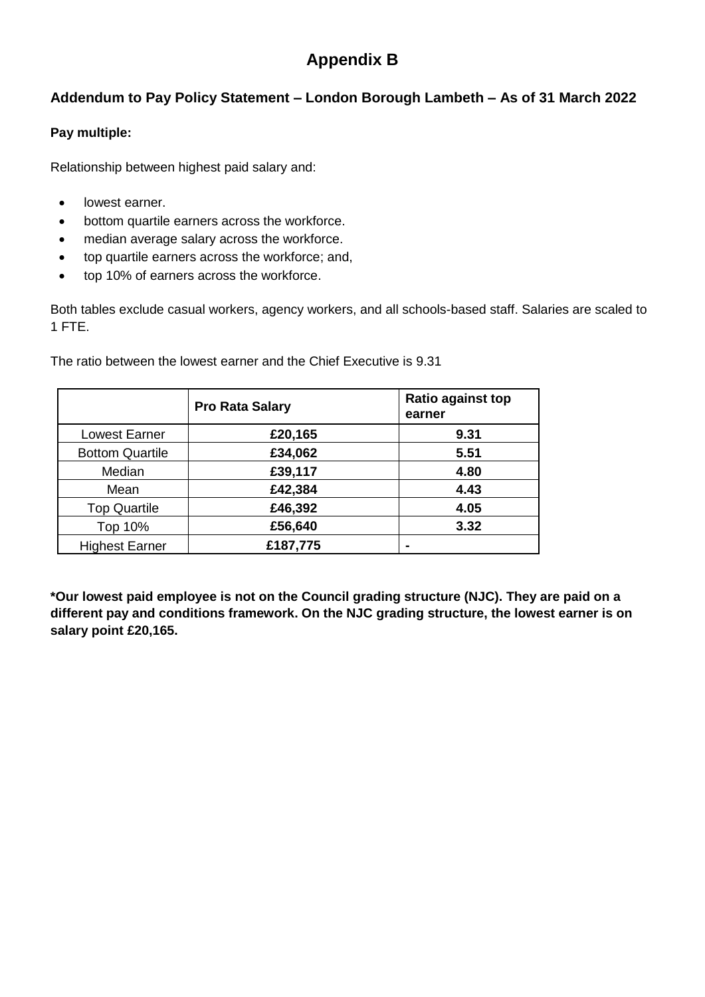## **Appendix B**

## **Addendum to Pay Policy Statement – London Borough Lambeth – As of 31 March 2022**

## **Pay multiple:**

Relationship between highest paid salary and:

- lowest earner.
- bottom quartile earners across the workforce.
- median average salary across the workforce.
- top quartile earners across the workforce; and,
- top 10% of earners across the workforce.

Both tables exclude casual workers, agency workers, and all schools-based staff. Salaries are scaled to 1 FTE.

|                        | <b>Pro Rata Salary</b> | <b>Ratio against top</b><br>earner |
|------------------------|------------------------|------------------------------------|
| <b>Lowest Earner</b>   | £20,165                | 9.31                               |
| <b>Bottom Quartile</b> | £34,062                | 5.51                               |
| Median                 | £39,117                | 4.80                               |
| Mean                   | £42,384                | 4.43                               |
| <b>Top Quartile</b>    | £46,392                | 4.05                               |
| Top 10%                | £56,640                | 3.32                               |
| <b>Highest Earner</b>  | £187,775               |                                    |

The ratio between the lowest earner and the Chief Executive is 9.31

**\*Our lowest paid employee is not on the Council grading structure (NJC). They are paid on a different pay and conditions framework. On the NJC grading structure, the lowest earner is on salary point £20,165.**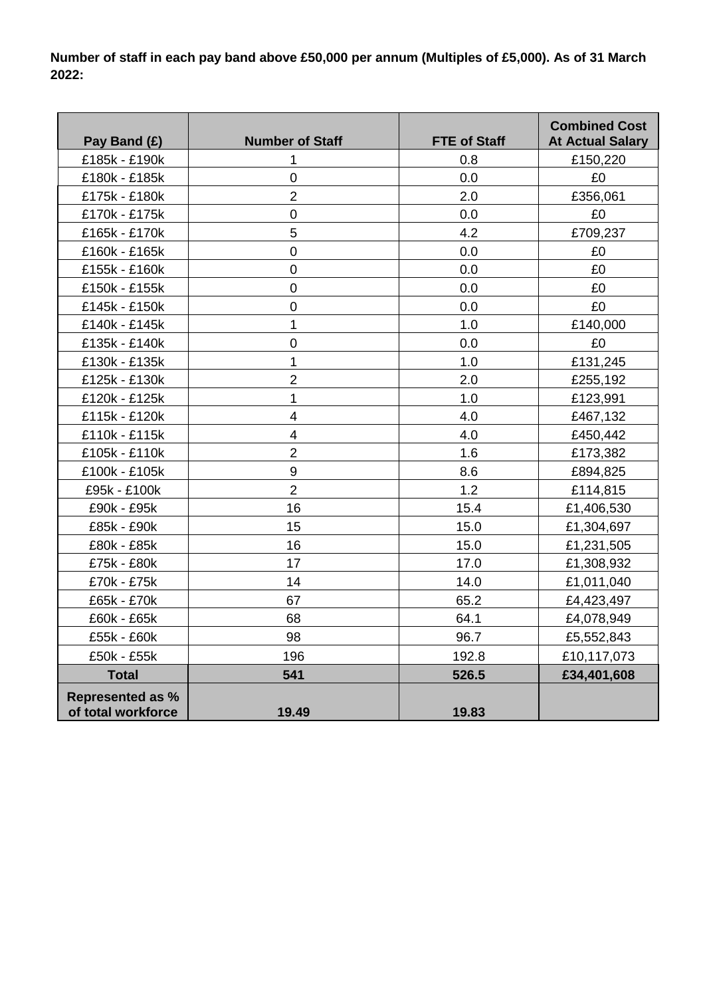**Number of staff in each pay band above £50,000 per annum (Multiples of £5,000). As of 31 March 2022:** 

| Pay Band (£)                                  | <b>Number of Staff</b>   | <b>FTE of Staff</b> | <b>Combined Cost</b><br><b>At Actual Salary</b> |
|-----------------------------------------------|--------------------------|---------------------|-------------------------------------------------|
| £185k - £190k                                 | 1                        | 0.8                 | £150,220                                        |
| £180k - £185k                                 | $\mathbf 0$              | 0.0                 | £0                                              |
| £175k - £180k                                 | $\overline{2}$           | 2.0                 | £356,061                                        |
| £170k - £175k                                 | $\mathbf 0$              | 0.0                 | £0                                              |
| £165k - £170k                                 | 5                        | 4.2                 | £709,237                                        |
| £160k - £165k                                 | $\overline{0}$           | 0.0                 | £0                                              |
| £155k - £160k                                 | $\mathbf 0$              | 0.0                 | £0                                              |
| £150k - £155k                                 | $\overline{0}$           | 0.0                 | £0                                              |
| £145k - £150k                                 | $\mathbf 0$              | 0.0                 | £0                                              |
| £140k - £145k                                 | 1                        | 1.0                 | £140,000                                        |
| £135k - £140k                                 | $\mathbf 0$              | 0.0                 | £0                                              |
| £130k - £135k                                 | 1                        | 1.0                 | £131,245                                        |
| £125k - £130k                                 | $\overline{2}$           | 2.0                 | £255,192                                        |
| £120k - £125k                                 | $\mathbf{1}$             | 1.0                 | £123,991                                        |
| £115k - £120k                                 | $\overline{4}$           | 4.0                 | £467,132                                        |
| £110k - £115k                                 | $\overline{\mathcal{A}}$ | 4.0                 | £450,442                                        |
| £105k - £110k                                 | $\overline{2}$           | 1.6                 | £173,382                                        |
| £100k - £105k                                 | 9                        | 8.6                 | £894,825                                        |
| £95k - £100k                                  | $\overline{2}$           | 1.2                 | £114,815                                        |
| £90k - £95k                                   | 16                       | 15.4                | £1,406,530                                      |
| £85k - £90k                                   | 15                       | 15.0                | £1,304,697                                      |
| £80k - £85k                                   | 16                       | 15.0                | £1,231,505                                      |
| £75k - £80k                                   | 17                       | 17.0                | £1,308,932                                      |
| £70k - £75k                                   | 14                       | 14.0                | £1,011,040                                      |
| £65k - £70k                                   | 67                       | 65.2                | £4,423,497                                      |
| £60k - £65k                                   | 68                       | 64.1                | £4,078,949                                      |
| £55k - £60k                                   | 98                       | 96.7                | £5,552,843                                      |
| £50k - £55k                                   | 196                      | 192.8               | £10,117,073                                     |
| <b>Total</b>                                  | 541                      | 526.5               | £34,401,608                                     |
| <b>Represented as %</b><br>of total workforce | 19.49                    | 19.83               |                                                 |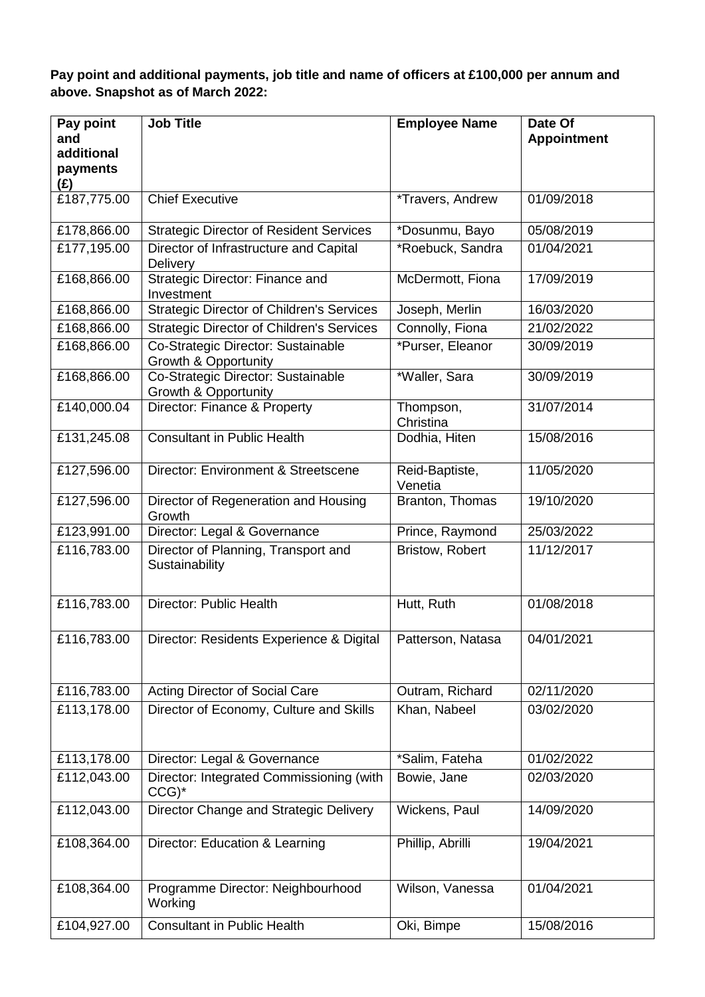**Pay point and additional payments, job title and name of officers at £100,000 per annum and above. Snapshot as of March 2022:** 

| Pay point<br>and<br>additional<br>payments<br>(E) | <b>Job Title</b>                                                      | <b>Employee Name</b>      | Date Of<br><b>Appointment</b> |
|---------------------------------------------------|-----------------------------------------------------------------------|---------------------------|-------------------------------|
| £187,775.00                                       | <b>Chief Executive</b>                                                | *Travers, Andrew          | 01/09/2018                    |
| £178,866.00                                       | <b>Strategic Director of Resident Services</b>                        | *Dosunmu, Bayo            | 05/08/2019                    |
| £177,195.00                                       | Director of Infrastructure and Capital<br>Delivery                    | *Roebuck, Sandra          | 01/04/2021                    |
| £168,866.00                                       | Strategic Director: Finance and<br>Investment                         | McDermott, Fiona          | 17/09/2019                    |
| £168,866.00                                       | <b>Strategic Director of Children's Services</b>                      | Joseph, Merlin            | 16/03/2020                    |
| £168,866.00                                       | <b>Strategic Director of Children's Services</b>                      | Connolly, Fiona           | 21/02/2022                    |
| £168,866.00                                       | Co-Strategic Director: Sustainable<br><b>Growth &amp; Opportunity</b> | *Purser, Eleanor          | 30/09/2019                    |
| £168,866.00                                       | Co-Strategic Director: Sustainable<br>Growth & Opportunity            | *Waller, Sara             | 30/09/2019                    |
| £140,000.04                                       | Director: Finance & Property                                          | Thompson,<br>Christina    | 31/07/2014                    |
| £131,245.08                                       | <b>Consultant in Public Health</b>                                    | Dodhia, Hiten             | 15/08/2016                    |
| £127,596.00                                       | Director: Environment & Streetscene                                   | Reid-Baptiste,<br>Venetia | 11/05/2020                    |
| £127,596.00                                       | Director of Regeneration and Housing<br>Growth                        | Branton, Thomas           | 19/10/2020                    |
| £123,991.00                                       | Director: Legal & Governance                                          | Prince, Raymond           | 25/03/2022                    |
| £116,783.00                                       | Director of Planning, Transport and<br>Sustainability                 | Bristow, Robert           | 11/12/2017                    |
| £116,783.00                                       | Director: Public Health                                               | Hutt, Ruth                | 01/08/2018                    |
| £116,783.00                                       | Director: Residents Experience & Digital                              | Patterson, Natasa         | 04/01/2021                    |
| £116,783.00                                       | Acting Director of Social Care                                        | Outram, Richard           | 02/11/2020                    |
| £113,178.00                                       | Director of Economy, Culture and Skills                               | Khan, Nabeel              | 03/02/2020                    |
| £113,178.00                                       | Director: Legal & Governance                                          | *Salim, Fateha            | 01/02/2022                    |
| £112,043.00                                       | Director: Integrated Commissioning (with<br>$CCG$ <sup>*</sup>        | Bowie, Jane               | 02/03/2020                    |
| £112,043.00                                       | Director Change and Strategic Delivery                                | Wickens, Paul             | 14/09/2020                    |
| £108,364.00                                       | Director: Education & Learning                                        | Phillip, Abrilli          | 19/04/2021                    |
| £108,364.00                                       | Programme Director: Neighbourhood<br>Working                          | Wilson, Vanessa           | 01/04/2021                    |
| £104,927.00                                       | Consultant in Public Health                                           | Oki, Bimpe                | 15/08/2016                    |